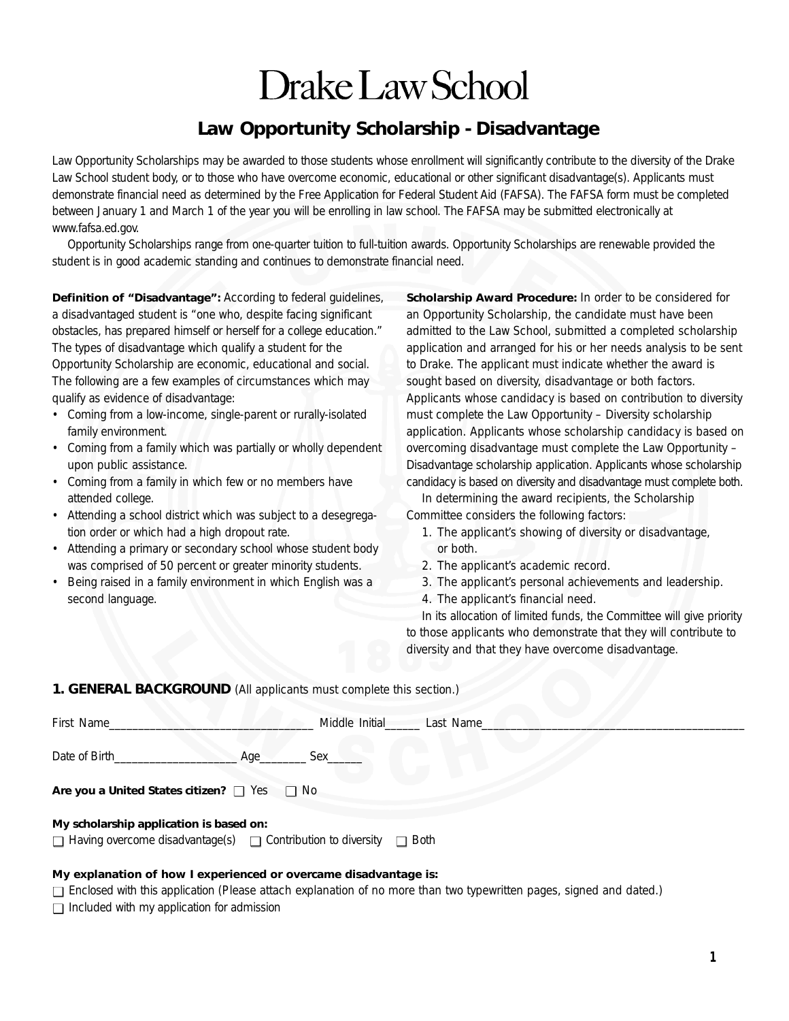# Drake Law School

# **Law Opportunity Scholarship - Disadvantage**

Law Opportunity Scholarships may be awarded to those students whose enrollment will significantly contribute to the diversity of the Drake Law School student body, or to those who have overcome economic, educational or other significant disadvantage(s). Applicants must demonstrate financial need as determined by the Free Application for Federal Student Aid (FAFSA). The FAFSA form must be completed between January 1 and March 1 of the year you will be enrolling in law school. The FAFSA may be submitted electronically at *www.fafsa.ed.gov.*

Opportunity Scholarships range from one-quarter tuition to full-tuition awards. Opportunity Scholarships are renewable provided the student is in good academic standing and continues to demonstrate financial need.

**Definition of "Disadvantage":** According to federal guidelines, a disadvantaged student is "one who, despite facing significant obstacles, has prepared himself or herself for a college education." The types of disadvantage which qualify a student for the Opportunity Scholarship are economic, educational and social. The following are a few examples of circumstances which may qualify as evidence of disadvantage:

- Coming from a low-income, single-parent or rurally-isolated family environment.
- Coming from a family which was partially or wholly dependent upon public assistance.
- Coming from a family in which few or no members have attended college.
- Attending a school district which was subject to a desegregation order or which had a high dropout rate.
- Attending a primary or secondary school whose student body was comprised of 50 percent or greater minority students.
- Being raised in a family environment in which English was a second language.

**Scholarship Award Procedure:** In order to be considered for an Opportunity Scholarship, the candidate must have been admitted to the Law School, submitted a completed scholarship application and arranged for his or her needs analysis to be sent to Drake. The applicant must indicate whether the award is sought based on diversity, disadvantage or both factors. Applicants whose candidacy is based on contribution to diversity must complete the Law Opportunity – Diversity scholarship application. Applicants whose scholarship candidacy is based on overcoming disadvantage must complete the Law Opportunity – Disadvantage scholarship application. Applicants whose scholarship candidacy is based on diversity and disadvantage must complete both.

In determining the award recipients, the Scholarship Committee considers the following factors:

- 1. The applicant's showing of diversity or disadvantage, or both.
- 2. The applicant's academic record.
- 3. The applicant's personal achievements and leadership.
- 4. The applicant's financial need.

In its allocation of limited funds, the Committee will give priority to those applicants who demonstrate that they will contribute to diversity and that they have overcome disadvantage.

#### **1. GENERAL BACKGROUND** *(All applicants must complete this section.)*

| First Name                                   |  | Middle Initial | Last Name_ |  |  |  |  |
|----------------------------------------------|--|----------------|------------|--|--|--|--|
| Date of Birth<br>Age                         |  | <b>Sex</b>     |            |  |  |  |  |
| Are you a United States citizen? I Yes I No  |  |                |            |  |  |  |  |
| My scholarship application is based on:<br>. |  |                |            |  |  |  |  |

 $\Box$  Having overcome disadvantage(s)  $\Box$  Contribution to diversity  $\Box$  Both

#### **My explanation of how I experienced or overcame disadvantage is:**

□ Enclosed with this application (Please attach explanation of no more than two typewritten pages, signed and dated.)

 $\Box$  Included with my application for admission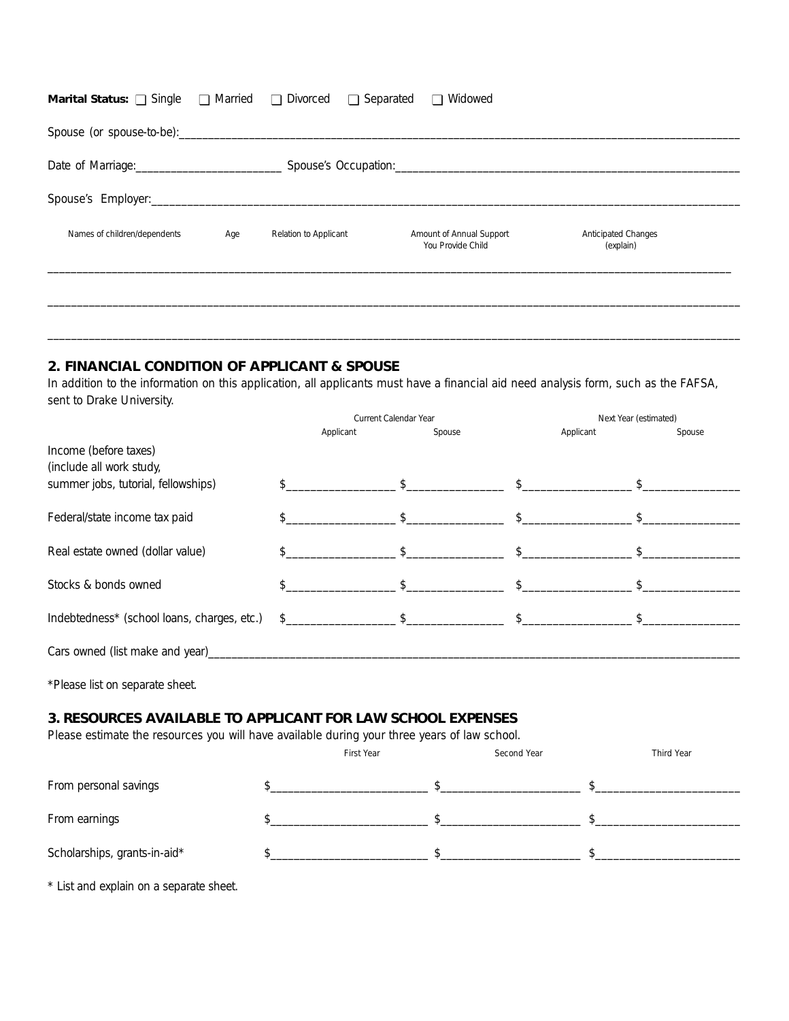| <b>Marital Status:</b> $\Box$ Single $\Box$ Married $\Box$ Divorced $\Box$ Separated                                                                                                                                           |     |                       |  | □ Widowed                                     |                                  |  |  |  |
|--------------------------------------------------------------------------------------------------------------------------------------------------------------------------------------------------------------------------------|-----|-----------------------|--|-----------------------------------------------|----------------------------------|--|--|--|
|                                                                                                                                                                                                                                |     |                       |  |                                               |                                  |  |  |  |
| Spouse's Occupation: Change and Changes of Changes and Changes and Changes and Changes and Changes and Changes and Changes and Changes and Changes and Changes and Changes and Changes and Changes and Changes and Changes and |     |                       |  |                                               |                                  |  |  |  |
|                                                                                                                                                                                                                                |     |                       |  |                                               |                                  |  |  |  |
| Names of children/dependents                                                                                                                                                                                                   | Age | Relation to Applicant |  | Amount of Annual Support<br>You Provide Child | Anticipated Changes<br>(explain) |  |  |  |
|                                                                                                                                                                                                                                |     |                       |  |                                               |                                  |  |  |  |

# **2. FINANCIAL CONDITION OF APPLICANT & SPOUSE**

\* List and explain on a separate sheet.

In addition to the information on this application, all applicants must have a financial aid need analysis form, such as the FAFSA, sent to Drake University.

 $\_$  , and the set of the set of the set of the set of the set of the set of the set of the set of the set of the set of the set of the set of the set of the set of the set of the set of the set of the set of the set of th

|                                                                                                                                                             | Current Calendar Year |               |                               | Next Year (estimated) |  |  |
|-------------------------------------------------------------------------------------------------------------------------------------------------------------|-----------------------|---------------|-------------------------------|-----------------------|--|--|
|                                                                                                                                                             | Applicant             | Spouse        | Applicant                     | Spouse                |  |  |
| Income (before taxes)                                                                                                                                       |                       |               |                               |                       |  |  |
| (include all work study,                                                                                                                                    |                       |               |                               |                       |  |  |
| summer jobs, tutorial, fellowships)                                                                                                                         |                       |               | $\mathfrak{S}$ $\mathfrak{S}$ |                       |  |  |
| Federal/state income tax paid                                                                                                                               |                       |               |                               |                       |  |  |
| Real estate owned (dollar value)                                                                                                                            |                       |               |                               |                       |  |  |
| Stocks & bonds owned                                                                                                                                        |                       |               |                               |                       |  |  |
| Indebtedness* (school loans, charges, etc.)                                                                                                                 |                       | $\frac{1}{2}$ | $\mathcal{L}$                 |                       |  |  |
|                                                                                                                                                             |                       |               |                               |                       |  |  |
| *Please list on separate sheet.                                                                                                                             |                       |               |                               |                       |  |  |
| 3. RESOURCES AVAILABLE TO APPLICANT FOR LAW SCHOOL EXPENSES<br>Please estimate the resources you will have available during your three years of law school. |                       |               |                               |                       |  |  |
|                                                                                                                                                             |                       | First Year    | Second Year                   | Third Year            |  |  |
| From personal savings                                                                                                                                       |                       | $\mathcal{S}$ |                               |                       |  |  |
| From earnings                                                                                                                                               |                       | \$            |                               |                       |  |  |

Scholarships, grants-in-aid\*  $\frac{1}{2}$   $\frac{1}{2}$   $\frac{1}{2}$   $\frac{1}{2}$   $\frac{1}{2}$   $\frac{1}{2}$   $\frac{1}{2}$   $\frac{1}{2}$   $\frac{1}{2}$   $\frac{1}{2}$   $\frac{1}{2}$   $\frac{1}{2}$   $\frac{1}{2}$   $\frac{1}{2}$   $\frac{1}{2}$   $\frac{1}{2}$   $\frac{1}{2}$   $\frac{1}{2}$   $\frac{1}{2}$   $\$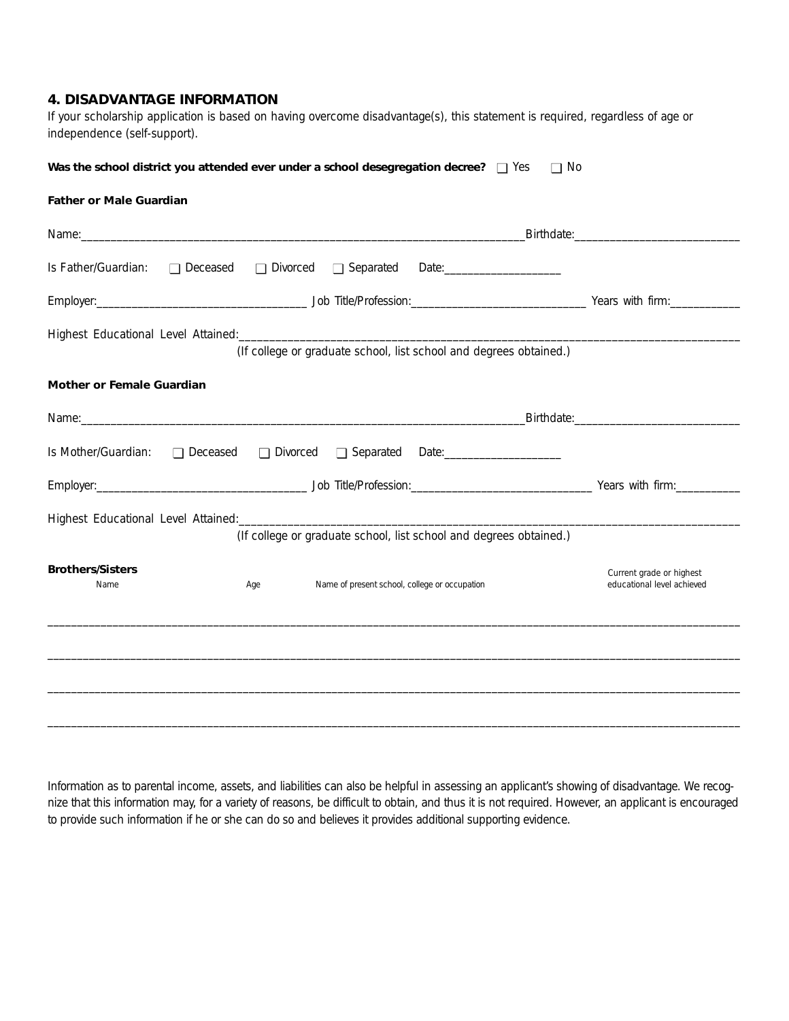# **4. DISADVANTAGE INFORMATION**

If your scholarship application is based on having overcome disadvantage(s), this statement is required, regardless of age or independence (self-support).

|  |  | Was the school district you attended ever under a school desegregation decree? $\Box$ Yes $\Box$ No |  |  |  |
|--|--|-----------------------------------------------------------------------------------------------------|--|--|--|
|--|--|-----------------------------------------------------------------------------------------------------|--|--|--|

#### **Father or Male Guardian**

| Name: <u>contract and contract and contract and contract and contract and contract and contract and contract and contract of the second state of the second state and contract of the second state of the second state of the se</u> |                       |                                               |                                                                    |                                                        |
|--------------------------------------------------------------------------------------------------------------------------------------------------------------------------------------------------------------------------------------|-----------------------|-----------------------------------------------|--------------------------------------------------------------------|--------------------------------------------------------|
| Is Father/Guardian:                                                                                                                                                                                                                  | □ Deceased □ Divorced | □ Separated                                   |                                                                    |                                                        |
|                                                                                                                                                                                                                                      |                       |                                               |                                                                    |                                                        |
|                                                                                                                                                                                                                                      |                       |                                               | (If college or graduate school, list school and degrees obtained.) |                                                        |
| <b>Mother or Female Guardian</b>                                                                                                                                                                                                     |                       |                                               |                                                                    |                                                        |
| Name: 1990 - 1990 - 1990 - 1990 - 1990 - 1990 - 1990 - 1990 - 1990 - 1990 - 1990 - 1990 - 1990 - 1990 - 1990 -                                                                                                                       |                       |                                               |                                                                    |                                                        |
| Is Mother/Guardian: □ Deceased □ Divorced □ Separated Date: ___________________                                                                                                                                                      |                       |                                               |                                                                    |                                                        |
|                                                                                                                                                                                                                                      |                       |                                               |                                                                    | Employer: Years with firm:                             |
|                                                                                                                                                                                                                                      |                       |                                               | (If college or graduate school, list school and degrees obtained.) |                                                        |
| <b>Brothers/Sisters</b><br>Name                                                                                                                                                                                                      | Age                   | Name of present school, college or occupation |                                                                    | Current grade or highest<br>educational level achieved |
|                                                                                                                                                                                                                                      |                       |                                               |                                                                    |                                                        |
|                                                                                                                                                                                                                                      |                       |                                               |                                                                    |                                                        |
|                                                                                                                                                                                                                                      |                       |                                               |                                                                    |                                                        |

Information as to parental income, assets, and liabilities can also be helpful in assessing an applicant's showing of disadvantage. We recognize that this information may, for a variety of reasons, be difficult to obtain, and thus it is not required. However, an applicant is encouraged to provide such information if he or she can do so and believes it provides additional supporting evidence.